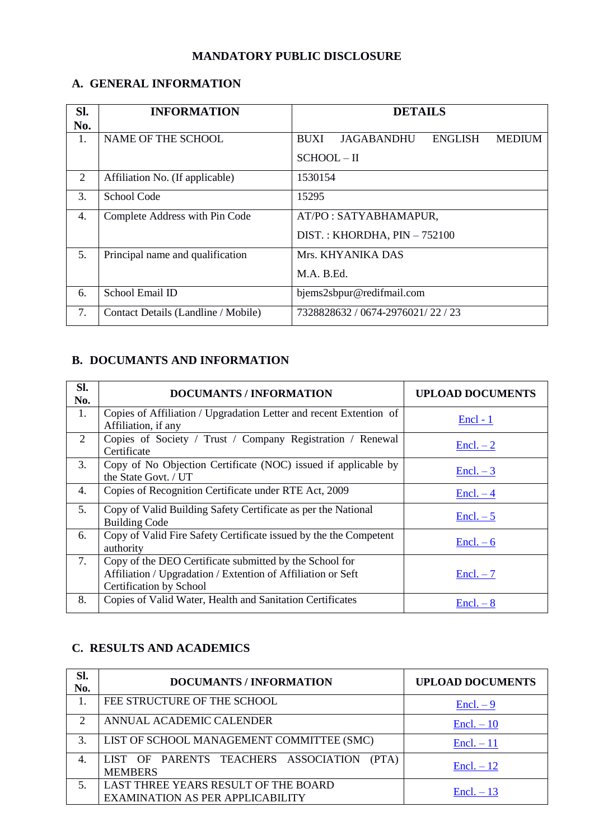# **MANDATORY PUBLIC DISCLOSURE**

#### **A. GENERAL INFORMATION**

| SI. | <b>INFORMATION</b>                  | <b>DETAILS</b>                                                      |  |  |  |
|-----|-------------------------------------|---------------------------------------------------------------------|--|--|--|
| No. |                                     |                                                                     |  |  |  |
| 1.  | NAME OF THE SCHOOL                  | <b>JAGABANDHU</b><br><b>ENGLISH</b><br><b>BUXI</b><br><b>MEDIUM</b> |  |  |  |
|     |                                     | $SCHOOL-II$                                                         |  |  |  |
| 2   | Affiliation No. (If applicable)     | 1530154                                                             |  |  |  |
| 3.  | School Code                         | 15295                                                               |  |  |  |
| 4.  | Complete Address with Pin Code      | AT/PO: SATYABHAMAPUR,                                               |  |  |  |
|     |                                     | DIST.: KHORDHA, $PIN - 752100$                                      |  |  |  |
| 5.  | Principal name and qualification    | Mrs. KHYANIKA DAS                                                   |  |  |  |
|     |                                     | M.A. B.Ed.                                                          |  |  |  |
| 6.  | School Email ID                     | bjems2sbpur@redifmail.com                                           |  |  |  |
| 7.  | Contact Details (Landline / Mobile) | 7328828632 / 0674-2976021/ 22 / 23                                  |  |  |  |

# **B. DOCUMANTS AND INFORMATION**

| Sl.<br>No. | <b>DOCUMANTS / INFORMATION</b>                                                                                                                     | <b>UPLOAD DOCUMENTS</b> |
|------------|----------------------------------------------------------------------------------------------------------------------------------------------------|-------------------------|
| 1.         | Copies of Affiliation / Upgradation Letter and recent Extention of<br>Affiliation, if any                                                          | $\text{Encl} - 1$       |
| 2          | Copies of Society / Trust / Company Registration / Renewal<br>Certificate                                                                          | $\text{Encl.} - 2$      |
| 3.         | Copy of No Objection Certificate (NOC) issued if applicable by<br>the State Govt. / UT                                                             | $\text{Encl.} - 3$      |
| 4.         | Copies of Recognition Certificate under RTE Act, 2009                                                                                              | $\text{Encl.} - 4$      |
| 5.         | Copy of Valid Building Safety Certificate as per the National<br><b>Building Code</b>                                                              | $Encl. - 5$             |
| 6.         | Copy of Valid Fire Safety Certificate issued by the the Competent<br>authority                                                                     | $Encl. - 6$             |
| 7.         | Copy of the DEO Certificate submitted by the School for<br>Affiliation / Upgradation / Extention of Affiliation or Seft<br>Certification by School | $Encl. - 7$             |
| 8.         | Copies of Valid Water, Health and Sanitation Certificates                                                                                          | $\text{Encl.} - 8$      |

#### **C. RESULTS AND ACADEMICS**

| Sl.<br>No.                  | <b>DOCUMANTS / INFORMATION</b>                                                  | <b>UPLOAD DOCUMENTS</b> |
|-----------------------------|---------------------------------------------------------------------------------|-------------------------|
|                             | FEE STRUCTURE OF THE SCHOOL                                                     | $\text{Encl.} - 9$      |
| $\mathcal{D}_{\mathcal{L}}$ | ANNUAL ACADEMIC CALENDER                                                        | $\text{Encl.} - 10$     |
| 3.                          | LIST OF SCHOOL MANAGEMENT COMMITTEE (SMC)                                       | $\text{Encl.} - 11$     |
| 4.                          | LIST OF PARENTS TEACHERS ASSOCIATION<br>(PTA)<br><b>MEMBERS</b>                 | $Encl. - 12$            |
|                             | LAST THREE YEARS RESULT OF THE BOARD<br><b>EXAMINATION AS PER APPLICABILITY</b> | $Encl. - 13$            |